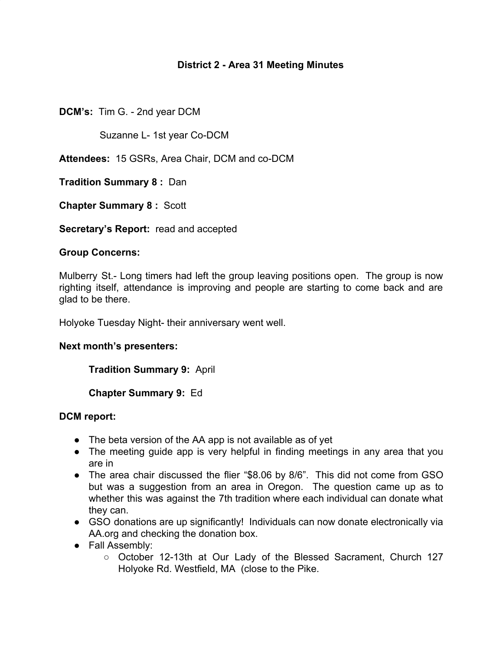## **District 2 - Area 31 Meeting Minutes**

**DCM's:** Tim G. - 2nd year DCM

Suzanne L- 1st year Co-DCM

**Attendees:** 15 GSRs, Area Chair, DCM and co-DCM

**Tradition Summary 8 :** Dan

**Chapter Summary 8 :** Scott

**Secretary's Report:** read and accepted

#### **Group Concerns:**

Mulberry St.- Long timers had left the group leaving positions open. The group is now righting itself, attendance is improving and people are starting to come back and are glad to be there.

Holyoke Tuesday Night- their anniversary went well.

#### **Next month's presenters:**

**Tradition Summary 9:** April

**Chapter Summary 9:** Ed

#### **DCM report:**

- The beta version of the AA app is not available as of yet
- The meeting guide app is very helpful in finding meetings in any area that you are in
- The area chair discussed the flier "\$8.06 by 8/6". This did not come from GSO but was a suggestion from an area in Oregon. The question came up as to whether this was against the 7th tradition where each individual can donate what they can.
- GSO donations are up significantly! Individuals can now donate electronically via AA.org and checking the donation box.
- Fall Assembly:
	- October 12-13th at Our Lady of the Blessed Sacrament, Church 127 Holyoke Rd. Westfield, MA (close to the Pike.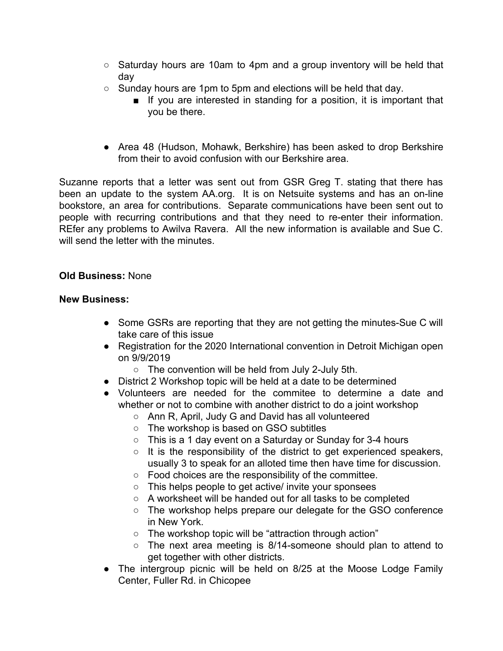- Saturday hours are 10am to 4pm and a group inventory will be held that day
- Sunday hours are 1pm to 5pm and elections will be held that day.
	- If you are interested in standing for a position, it is important that you be there.
- Area 48 (Hudson, Mohawk, Berkshire) has been asked to drop Berkshire from their to avoid confusion with our Berkshire area.

Suzanne reports that a letter was sent out from GSR Greg T. stating that there has been an update to the system AA.org. It is on Netsuite systems and has an on-line bookstore, an area for contributions. Separate communications have been sent out to people with recurring contributions and that they need to re-enter their information. REfer any problems to Awilva Ravera. All the new information is available and Sue C. will send the letter with the minutes.

### **Old Business:** None

### **New Business:**

- Some GSRs are reporting that they are not getting the minutes-Sue C will take care of this issue
- Registration for the 2020 International convention in Detroit Michigan open on 9/9/2019
	- $\circ$  The convention will be held from July 2-July 5th.
- District 2 Workshop topic will be held at a date to be determined
- Volunteers are needed for the commitee to determine a date and whether or not to combine with another district to do a joint workshop
	- Ann R, April, Judy G and David has all volunteered
	- The workshop is based on GSO subtitles
	- This is a 1 day event on a Saturday or Sunday for 3-4 hours
	- It is the responsibility of the district to get experienced speakers, usually 3 to speak for an alloted time then have time for discussion.
	- Food choices are the responsibility of the committee.
	- This helps people to get active/ invite your sponsees
	- A worksheet will be handed out for all tasks to be completed
	- The workshop helps prepare our delegate for the GSO conference in New York.
	- The workshop topic will be "attraction through action"
	- The next area meeting is 8/14-someone should plan to attend to get together with other districts.
- The intergroup picnic will be held on 8/25 at the Moose Lodge Family Center, Fuller Rd. in Chicopee